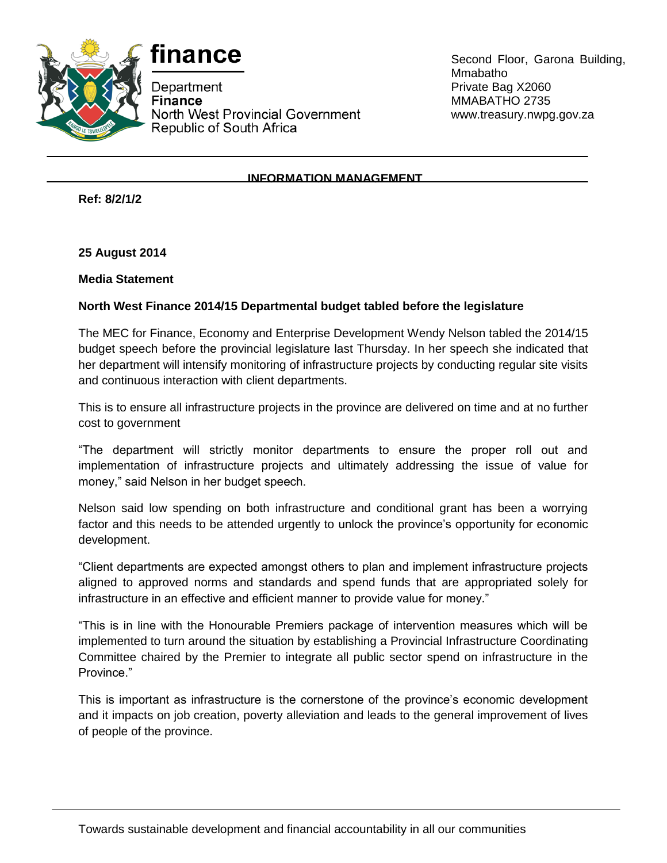



Department **Finance** North West Provincial Government Republic of South Africa

Second Floor, Garona Building, Mmabatho Private Bag X2060 MMABATHO 2735 www.treasury.nwpg.gov.za

## **INFORMATION MANAGEMENT**

**Ref: 8/2/1/2**

**25 August 2014**

**Media Statement**

## **North West Finance 2014/15 Departmental budget tabled before the legislature**

The MEC for Finance, Economy and Enterprise Development Wendy Nelson tabled the 2014/15 budget speech before the provincial legislature last Thursday. In her speech she indicated that her department will intensify monitoring of infrastructure projects by conducting regular site visits and continuous interaction with client departments.

This is to ensure all infrastructure projects in the province are delivered on time and at no further cost to government

"The department will strictly monitor departments to ensure the proper roll out and implementation of infrastructure projects and ultimately addressing the issue of value for money," said Nelson in her budget speech.

Nelson said low spending on both infrastructure and conditional grant has been a worrying factor and this needs to be attended urgently to unlock the province's opportunity for economic development.

"Client departments are expected amongst others to plan and implement infrastructure projects aligned to approved norms and standards and spend funds that are appropriated solely for infrastructure in an effective and efficient manner to provide value for money."

"This is in line with the Honourable Premiers package of intervention measures which will be implemented to turn around the situation by establishing a Provincial Infrastructure Coordinating Committee chaired by the Premier to integrate all public sector spend on infrastructure in the Province."

This is important as infrastructure is the cornerstone of the province's economic development and it impacts on job creation, poverty alleviation and leads to the general improvement of lives of people of the province.